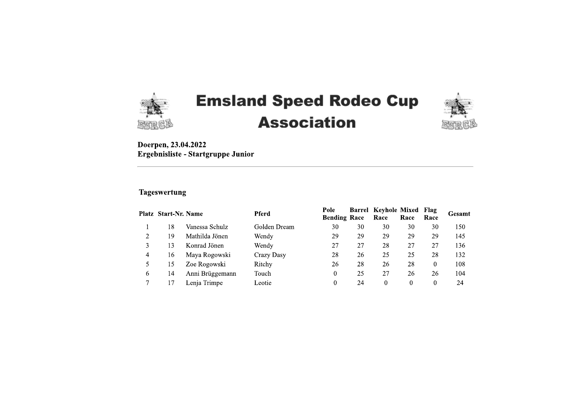

# **Emsland Speed Rodeo Cup Association**



Doerpen, 23.04.2022 Ergebnisliste - Startgruppe Junior

### **Tageswertung**

|              | <b>Platz Start-Nr. Name</b> |                 | <b>Pferd</b> | Pole<br><b>Bending Race</b> | Barrel | Keyhole Mixed<br>Race | Race     | <b>Flag</b><br>Race | Gesamt |
|--------------|-----------------------------|-----------------|--------------|-----------------------------|--------|-----------------------|----------|---------------------|--------|
|              | 18                          | Vanessa Schulz  | Golden Dream | 30                          | 30     | 30                    | 30       | 30                  | 150    |
| 2            | 19                          | Mathilda Jönen  | Wendy        | 29                          | 29     | 29                    | 29       | 29                  | 145    |
| 3            | 13                          | Konrad Jönen    | Wendy        | 27                          | 27     | 28                    | 27       | 27                  | 136    |
| 4            | 16                          | Maya Rogowski   | Crazy Dasy   | 28                          | 26     | 25                    | 25       | 28                  | 132    |
| 5            | 15                          | Zoe Rogowski    | Ritchy       | 26                          | 28     | 26                    | 28       | 0                   | 108    |
| 6            | 14                          | Anni Brüggemann | Touch        | 0                           | 25     | 27                    | 26       | 26                  | 104    |
| $\mathbf{r}$ |                             | Lenja Trimpe    | Leotie       | 0                           | 24     | 0                     | $\theta$ | 0                   | 24     |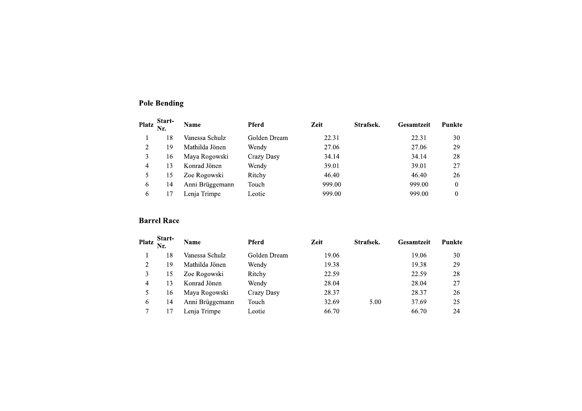|                         | <b>Pole Bending</b> |                 |              |        |           |            |                  |
|-------------------------|---------------------|-----------------|--------------|--------|-----------|------------|------------------|
| <b>Platz</b>            | Start-<br>Nr.       | Name            | <b>Pferd</b> | Zeit   | Strafsek. | Gesamtzeit | <b>Punkte</b>    |
|                         | 18                  | Vanessa Schulz  | Golden Dream | 22.31  |           | 22.31      | 30               |
| $\overline{c}$          | 19                  | Mathilda Jönen  | Wendy        | 27.06  |           | 27.06      | 29               |
| 3                       | 16                  | Maya Rogowski   | Crazy Dasy   | 34.14  |           | 34.14      | 28               |
| 4                       | 13                  | Konrad Jönen    | Wendy        | 39.01  |           | 39.01      | 27               |
| 5                       | 15                  | Zoe Rogowski    | Ritchy       | 46.40  |           | 46.40      | 26               |
| 6                       | 14                  | Anni Brüggemann | Touch        | 999.00 |           | 999.00     | $\boldsymbol{0}$ |
| 6                       | 17                  | Lenja Trimpe    | Leotie       | 999.00 |           | 999.00     | $\boldsymbol{0}$ |
|                         | <b>Barrel Race</b>  |                 |              |        |           |            |                  |
| <b>Platz</b>            | Start-<br>Nr.       | Name            | Pferd        | Zeit   | Strafsek. | Gesamtzeit | Punkte           |
|                         | 18                  | Vanessa Schulz  | Golden Dream | 19.06  |           | 19.06      | 30               |
| $\overline{c}$          | 19                  | Mathilda Jönen  | Wendy        | 19.38  |           | 19.38      | 29               |
| 3                       | 15                  | Zoe Rogowski    | Ritchy       | 22.59  |           | 22.59      | 28               |
| $\overline{\mathbf{4}}$ | 13                  | Konrad Jönen    | Wendy        | 28.04  |           | 28.04      | 27               |
| 5                       | 16                  | Maya Rogowski   | Crazy Dasy   | 28.37  |           | 28.37      | 26               |
|                         |                     |                 |              |        |           |            |                  |

| 3<br>$\overline{4}$<br>5<br>6 | 16<br>13<br>15<br>14 | Mathilda Jönen<br>Maya Rogowski<br>Konrad Jönen<br>Zoe Rogowski<br>Anni Brüggemann | Wendy<br>Crazy Dasy<br>Wendy<br>Ritchy<br>Touch | 27.06<br>34.14<br>39.01<br>46.40<br>999.00 |           | 27.06<br>34.14<br>39.01<br>46.40<br>999.00 | $28\,$<br>27<br>$26\,$<br>$\bf{0}$ |
|-------------------------------|----------------------|------------------------------------------------------------------------------------|-------------------------------------------------|--------------------------------------------|-----------|--------------------------------------------|------------------------------------|
| 6                             | 17                   | Lenja Trimpe                                                                       | Leotie                                          | 999.00                                     |           | 999.00                                     | $\boldsymbol{0}$                   |
|                               | <b>Barrel Race</b>   |                                                                                    |                                                 |                                            |           |                                            |                                    |
| <b>Platz</b>                  | Start-<br>Nr.        | Name                                                                               | Pferd                                           | Zeit                                       | Strafsek. | Gesamtzeit                                 | Punkte                             |
| $\mathbf{1}$                  | 18                   | Vanessa Schulz                                                                     | Golden Dream                                    | 19.06                                      |           | 19.06                                      | 30                                 |
| $\mathbf{2}$                  | 19                   | Mathilda Jönen                                                                     | Wendy                                           | 19.38                                      |           | 19.38                                      | 29                                 |
| 3                             | 15                   | Zoe Rogowski                                                                       | Ritchy                                          | 22.59                                      |           | 22.59                                      | $28\,$                             |
| 4                             | 13                   | Konrad Jönen                                                                       | Wendy                                           | 28.04                                      |           | 28.04                                      | 27                                 |
| 5                             | 16                   | Maya Rogowski                                                                      | Crazy Dasy                                      | 28.37                                      |           | 28.37                                      | 26                                 |
|                               | 14                   | Anni Brüggemann                                                                    | Touch                                           | 32.69                                      | 5.00      | 37.69                                      | 25                                 |
| 6                             |                      |                                                                                    |                                                 |                                            |           | 66.70                                      | 24                                 |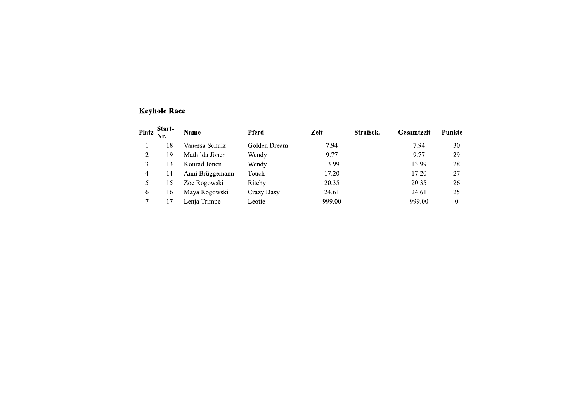# **Keyhole Race**

| <b>Platz</b> | Start-<br>Nr. | Name            | <b>Pferd</b> | Zeit   | Strafsek. | <b>Gesamtzeit</b> | Punkte |
|--------------|---------------|-----------------|--------------|--------|-----------|-------------------|--------|
|              | 18            | Vanessa Schulz  | Golden Dream | 7.94   |           | 7.94              | 30     |
| 2            | 19            | Mathilda Jönen  | Wendy        | 9.77   |           | 9.77              | 29     |
|              | 13            | Konrad Jönen    | Wendy        | 13.99  |           | 13.99             | 28     |
| 4            | 14            | Anni Brüggemann | Touch        | 17.20  |           | 17.20             | 27     |
|              | 15            | Zoe Rogowski    | Ritchy       | 20.35  |           | 20.35             | 26     |
| 6            | 16            | Maya Rogowski   | Crazy Dasy   | 24.61  |           | 24.61             | 25     |
|              |               | Lenja Trimpe    | Leotie       | 999.00 |           | 999.00            | 0      |